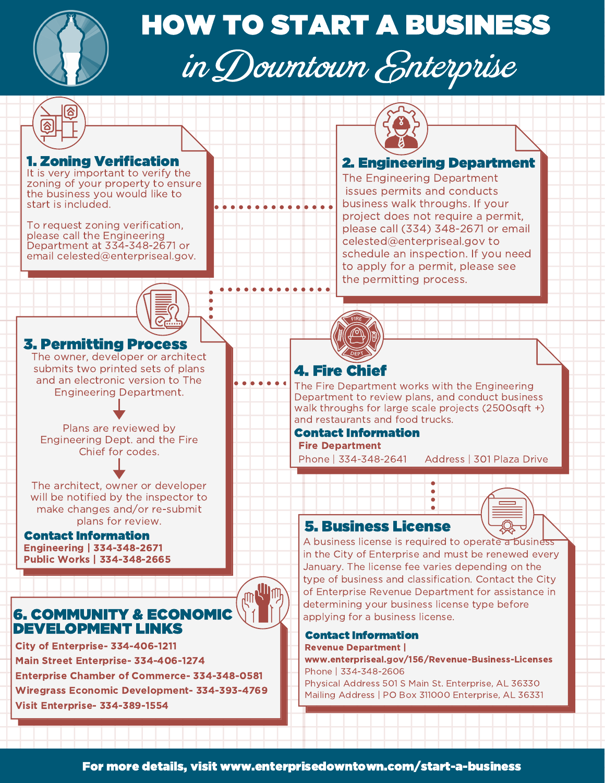

# HOW TO START A BUSINESS in Downtown Enterprise

### 1. Zoning Verification

It is very important to verify the zoning of your property to ensure the business you would like to start is included.

To request zoning verification, please call the Engineering Department at 334-348-2671 or email [celested@enterpriseal.gov.](mailto:celested@enterpriseal.gov)



## 3. Permitting Process

The owner, developer or architect submits two printed sets of plans and an electronic version to The Engineering Department.

Plans are reviewed by Engineering Dept. and the Fire Chief for codes.

The architect, owner or developer will be notified by the inspector to make changes and/or re-submit plans for review.

#### Contact Information Engineering | 334-348-2671 Public Works | 334-348-2665

# 6. COMMUNITY & ECONOMIC DEVELOPMENT LINKS

City of Enterprise- 334-406-1211 Main Street Enterprise- 334-406-1274 Enterprise Chamber of Commerce- 334-348-0581 Wiregrass Economic Development- 334-393-4769 Visit Enterprise- 334-389-1554

## 2. Engineering Department

The Engineering Department issues permits and conducts business walk throughs. If your project does not require a permit, please call (334) 348-2671 or email celested@enterpriseal.gov to schedule an inspection. If you need to apply for a permit, please see the permitting process.



The Fire Department works with the Engineering Department to review plans, and conduct business walk throughs for large scale projects (2500sqft +) and restaurants and food trucks.

## Contact Information

Fire Department

Phone | 334-348-2641 Address | 301 Plaza Drive

## 5. Business License

A business license is required to operate a business in the City of Enterprise and must be renewed every January. The license fee varies depending on the type of business and classification. Contact the City of Enterprise Revenue Department for assistance in determining your business license type before applying for a business license.

 $\bullet$  $\bullet$  $\bullet$ 

#### Contact Information Revenue Department |

www.enterpriseal.gov/156/Revenue-Business-Licenses Phone | 334-348-2606 Physical Address 501 S Main St. Enterprise, AL 36330 Mailing Address | PO Box 311000 Enterprise, AL 36331

**AN AN AN AN AN AN AN AN**